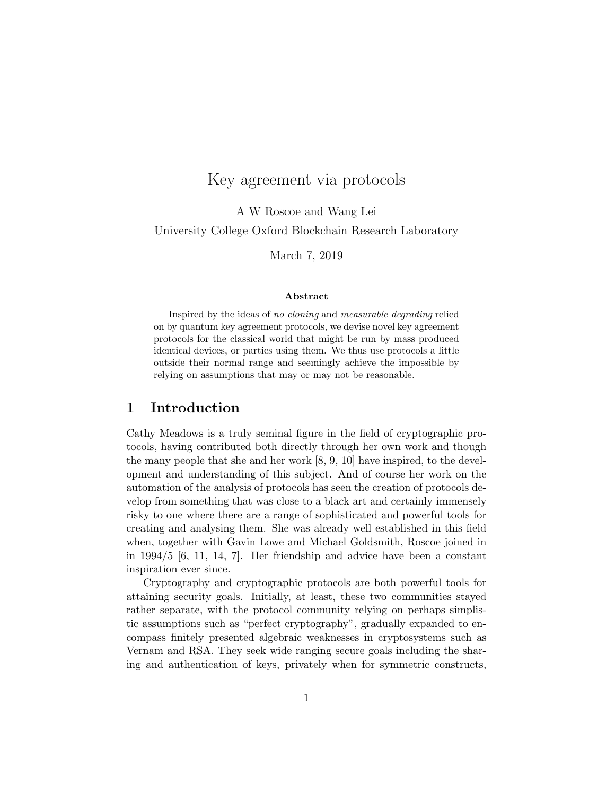# Key agreement via protocols

A W Roscoe and Wang Lei

University College Oxford Blockchain Research Laboratory

March 7, 2019

#### Abstract

Inspired by the ideas of no cloning and measurable degrading relied on by quantum key agreement protocols, we devise novel key agreement protocols for the classical world that might be run by mass produced identical devices, or parties using them. We thus use protocols a little outside their normal range and seemingly achieve the impossible by relying on assumptions that may or may not be reasonable.

### 1 Introduction

Cathy Meadows is a truly seminal figure in the field of cryptographic protocols, having contributed both directly through her own work and though the many people that she and her work [8, 9, 10] have inspired, to the development and understanding of this subject. And of course her work on the automation of the analysis of protocols has seen the creation of protocols develop from something that was close to a black art and certainly immensely risky to one where there are a range of sophisticated and powerful tools for creating and analysing them. She was already well established in this field when, together with Gavin Lowe and Michael Goldsmith, Roscoe joined in in  $1994/5$  [6, 11, 14, 7]. Her friendship and advice have been a constant inspiration ever since.

Cryptography and cryptographic protocols are both powerful tools for attaining security goals. Initially, at least, these two communities stayed rather separate, with the protocol community relying on perhaps simplistic assumptions such as "perfect cryptography", gradually expanded to encompass finitely presented algebraic weaknesses in cryptosystems such as Vernam and RSA. They seek wide ranging secure goals including the sharing and authentication of keys, privately when for symmetric constructs,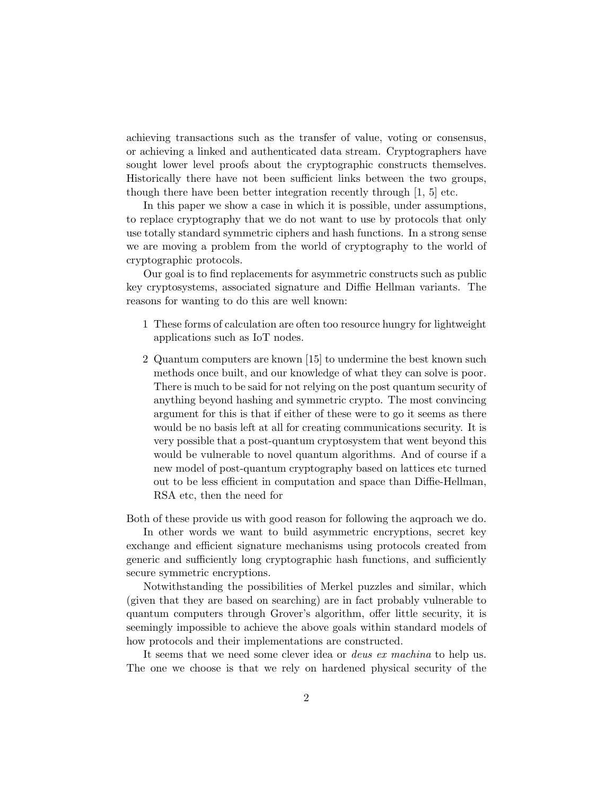achieving transactions such as the transfer of value, voting or consensus, or achieving a linked and authenticated data stream. Cryptographers have sought lower level proofs about the cryptographic constructs themselves. Historically there have not been sufficient links between the two groups, though there have been better integration recently through [1, 5] etc.

In this paper we show a case in which it is possible, under assumptions, to replace cryptography that we do not want to use by protocols that only use totally standard symmetric ciphers and hash functions. In a strong sense we are moving a problem from the world of cryptography to the world of cryptographic protocols.

Our goal is to find replacements for asymmetric constructs such as public key cryptosystems, associated signature and Diffie Hellman variants. The reasons for wanting to do this are well known:

- 1 These forms of calculation are often too resource hungry for lightweight applications such as IoT nodes.
- 2 Quantum computers are known [15] to undermine the best known such methods once built, and our knowledge of what they can solve is poor. There is much to be said for not relying on the post quantum security of anything beyond hashing and symmetric crypto. The most convincing argument for this is that if either of these were to go it seems as there would be no basis left at all for creating communications security. It is very possible that a post-quantum cryptosystem that went beyond this would be vulnerable to novel quantum algorithms. And of course if a new model of post-quantum cryptography based on lattices etc turned out to be less efficient in computation and space than Diffie-Hellman, RSA etc, then the need for

Both of these provide us with good reason for following the aqproach we do.

In other words we want to build asymmetric encryptions, secret key exchange and efficient signature mechanisms using protocols created from generic and sufficiently long cryptographic hash functions, and sufficiently secure symmetric encryptions.

Notwithstanding the possibilities of Merkel puzzles and similar, which (given that they are based on searching) are in fact probably vulnerable to quantum computers through Grover's algorithm, offer little security, it is seemingly impossible to achieve the above goals within standard models of how protocols and their implementations are constructed.

It seems that we need some clever idea or deus ex machina to help us. The one we choose is that we rely on hardened physical security of the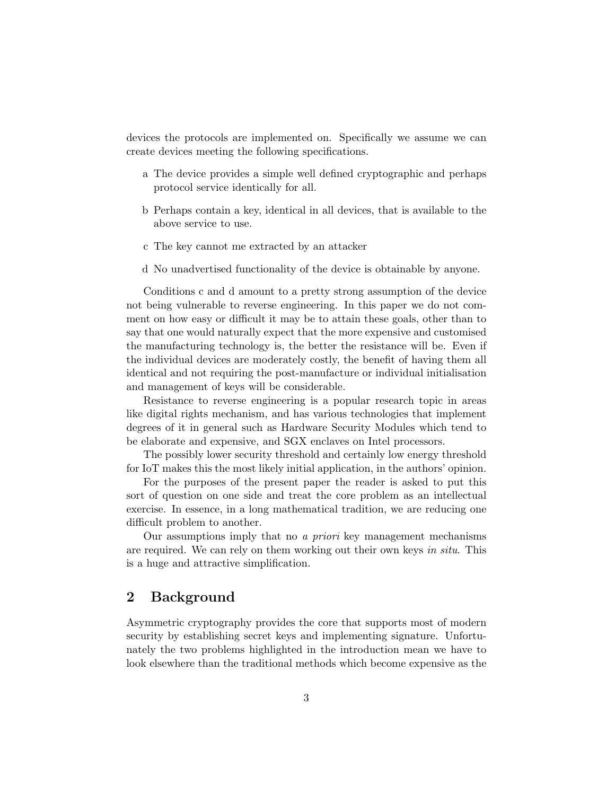devices the protocols are implemented on. Specifically we assume we can create devices meeting the following specifications.

- a The device provides a simple well defined cryptographic and perhaps protocol service identically for all.
- b Perhaps contain a key, identical in all devices, that is available to the above service to use.
- c The key cannot me extracted by an attacker
- d No unadvertised functionality of the device is obtainable by anyone.

Conditions c and d amount to a pretty strong assumption of the device not being vulnerable to reverse engineering. In this paper we do not comment on how easy or difficult it may be to attain these goals, other than to say that one would naturally expect that the more expensive and customised the manufacturing technology is, the better the resistance will be. Even if the individual devices are moderately costly, the benefit of having them all identical and not requiring the post-manufacture or individual initialisation and management of keys will be considerable.

Resistance to reverse engineering is a popular research topic in areas like digital rights mechanism, and has various technologies that implement degrees of it in general such as Hardware Security Modules which tend to be elaborate and expensive, and SGX enclaves on Intel processors.

The possibly lower security threshold and certainly low energy threshold for IoT makes this the most likely initial application, in the authors' opinion.

For the purposes of the present paper the reader is asked to put this sort of question on one side and treat the core problem as an intellectual exercise. In essence, in a long mathematical tradition, we are reducing one difficult problem to another.

Our assumptions imply that no a priori key management mechanisms are required. We can rely on them working out their own keys in situ. This is a huge and attractive simplification.

#### 2 Background

Asymmetric cryptography provides the core that supports most of modern security by establishing secret keys and implementing signature. Unfortunately the two problems highlighted in the introduction mean we have to look elsewhere than the traditional methods which become expensive as the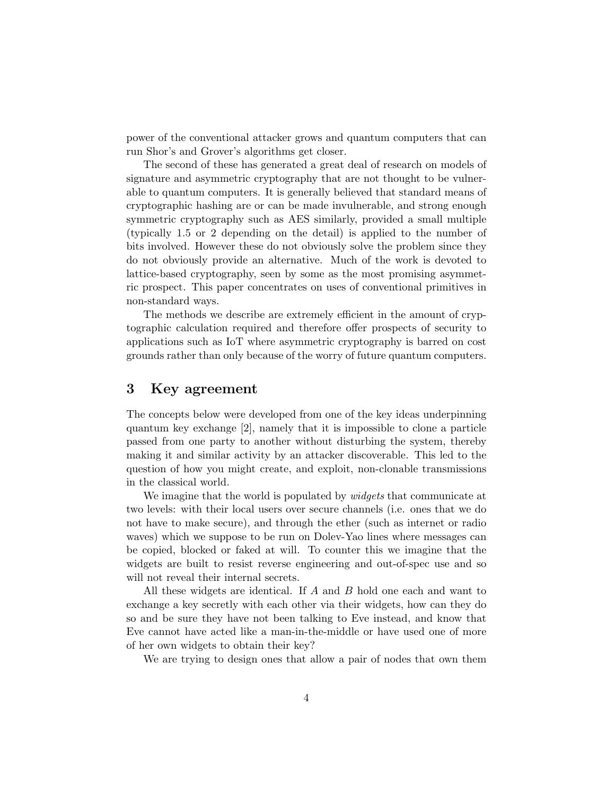power of the conventional attacker grows and quantum computers that can run Shor's and Grover's algorithms get closer.

The second of these has generated a great deal of research on models of signature and asymmetric cryptography that are not thought to be vulnerable to quantum computers. It is generally believed that standard means of cryptographic hashing are or can be made invulnerable, and strong enough symmetric cryptography such as AES similarly, provided a small multiple (typically 1.5 or 2 depending on the detail) is applied to the number of bits involved. However these do not obviously solve the problem since they do not obviously provide an alternative. Much of the work is devoted to lattice-based cryptography, seen by some as the most promising asymmetric prospect. This paper concentrates on uses of conventional primitives in non-standard ways.

The methods we describe are extremely efficient in the amount of cryptographic calculation required and therefore offer prospects of security to applications such as IoT where asymmetric cryptography is barred on cost grounds rather than only because of the worry of future quantum computers.

#### 3 Key agreement

The concepts below were developed from one of the key ideas underpinning quantum key exchange [2], namely that it is impossible to clone a particle passed from one party to another without disturbing the system, thereby making it and similar activity by an attacker discoverable. This led to the question of how you might create, and exploit, non-clonable transmissions in the classical world.

We imagine that the world is populated by *widgets* that communicate at two levels: with their local users over secure channels (i.e. ones that we do not have to make secure), and through the ether (such as internet or radio waves) which we suppose to be run on Dolev-Yao lines where messages can be copied, blocked or faked at will. To counter this we imagine that the widgets are built to resist reverse engineering and out-of-spec use and so will not reveal their internal secrets.

All these widgets are identical. If A and B hold one each and want to exchange a key secretly with each other via their widgets, how can they do so and be sure they have not been talking to Eve instead, and know that Eve cannot have acted like a man-in-the-middle or have used one of more of her own widgets to obtain their key?

We are trying to design ones that allow a pair of nodes that own them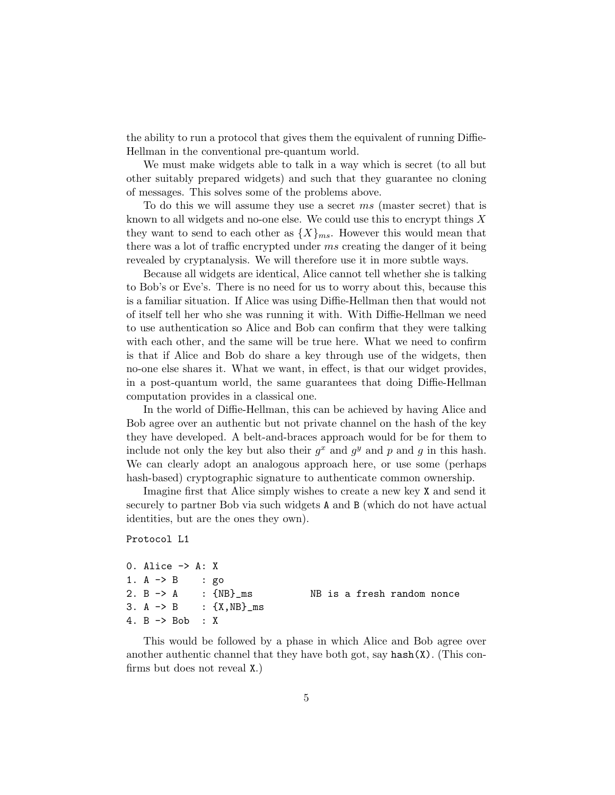the ability to run a protocol that gives them the equivalent of running Diffie-Hellman in the conventional pre-quantum world.

We must make widgets able to talk in a way which is secret (to all but other suitably prepared widgets) and such that they guarantee no cloning of messages. This solves some of the problems above.

To do this we will assume they use a secret ms (master secret) that is known to all widgets and no-one else. We could use this to encrypt things  $X$ they want to send to each other as  $\{X\}_{ms}$ . However this would mean that there was a lot of traffic encrypted under ms creating the danger of it being revealed by cryptanalysis. We will therefore use it in more subtle ways.

Because all widgets are identical, Alice cannot tell whether she is talking to Bob's or Eve's. There is no need for us to worry about this, because this is a familiar situation. If Alice was using Diffie-Hellman then that would not of itself tell her who she was running it with. With Diffie-Hellman we need to use authentication so Alice and Bob can confirm that they were talking with each other, and the same will be true here. What we need to confirm is that if Alice and Bob do share a key through use of the widgets, then no-one else shares it. What we want, in effect, is that our widget provides, in a post-quantum world, the same guarantees that doing Diffie-Hellman computation provides in a classical one.

In the world of Diffie-Hellman, this can be achieved by having Alice and Bob agree over an authentic but not private channel on the hash of the key they have developed. A belt-and-braces approach would for be for them to include not only the key but also their  $g^x$  and  $g^y$  and p and g in this hash. We can clearly adopt an analogous approach here, or use some (perhaps hash-based) cryptographic signature to authenticate common ownership.

Imagine first that Alice simply wishes to create a new key X and send it securely to partner Bob via such widgets A and B (which do not have actual identities, but are the ones they own).

Protocol L1

0. Alice -> A: X 1.  $A \rightarrow B$  : go 2. B -> A : {NB}\_ms NB is a fresh random nonce 3. A  $\rightarrow$  B :  $\{X, NB\}$ \_ms 4. B -> Bob : X

This would be followed by a phase in which Alice and Bob agree over another authentic channel that they have both got, say hash(X). (This confirms but does not reveal X.)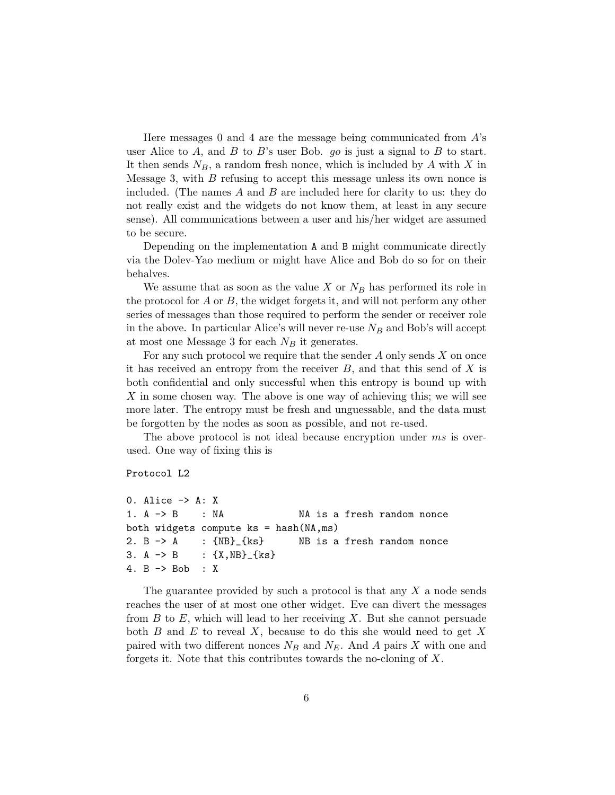Here messages 0 and 4 are the message being communicated from A's user Alice to A, and B to B's user Bob. go is just a signal to B to start. It then sends  $N_B$ , a random fresh nonce, which is included by A with X in Message 3, with  $B$  refusing to accept this message unless its own nonce is included. (The names  $A$  and  $B$  are included here for clarity to us: they do not really exist and the widgets do not know them, at least in any secure sense). All communications between a user and his/her widget are assumed to be secure.

Depending on the implementation A and B might communicate directly via the Dolev-Yao medium or might have Alice and Bob do so for on their behalves.

We assume that as soon as the value  $X$  or  $N_B$  has performed its role in the protocol for  $A$  or  $B$ , the widget forgets it, and will not perform any other series of messages than those required to perform the sender or receiver role in the above. In particular Alice's will never re-use  $N_B$  and Bob's will accept at most one Message 3 for each  $N_B$  it generates.

For any such protocol we require that the sender  $A$  only sends  $X$  on once it has received an entropy from the receiver  $B$ , and that this send of  $X$  is both confidential and only successful when this entropy is bound up with X in some chosen way. The above is one way of achieving this; we will see more later. The entropy must be fresh and unguessable, and the data must be forgotten by the nodes as soon as possible, and not re-used.

The above protocol is not ideal because encryption under ms is overused. One way of fixing this is

Protocol L2

```
0. Alice -> A: X
1. A -> B : NA NA is a fresh random nonce
both widgets compute ks = hash(NA, ms)2. B -> A : {NB} \ {ks} NB is a fresh random nonce
3. A \rightarrow B : \{X, NB\} \{ks\}4. B -> Bob : X
```
The guarantee provided by such a protocol is that any  $X$  a node sends reaches the user of at most one other widget. Eve can divert the messages from  $B$  to  $E$ , which will lead to her receiving  $X$ . But she cannot persuade both  $B$  and  $E$  to reveal  $X$ , because to do this she would need to get  $X$ paired with two different nonces  $N_B$  and  $N_E$ . And A pairs X with one and forgets it. Note that this contributes towards the no-cloning of X.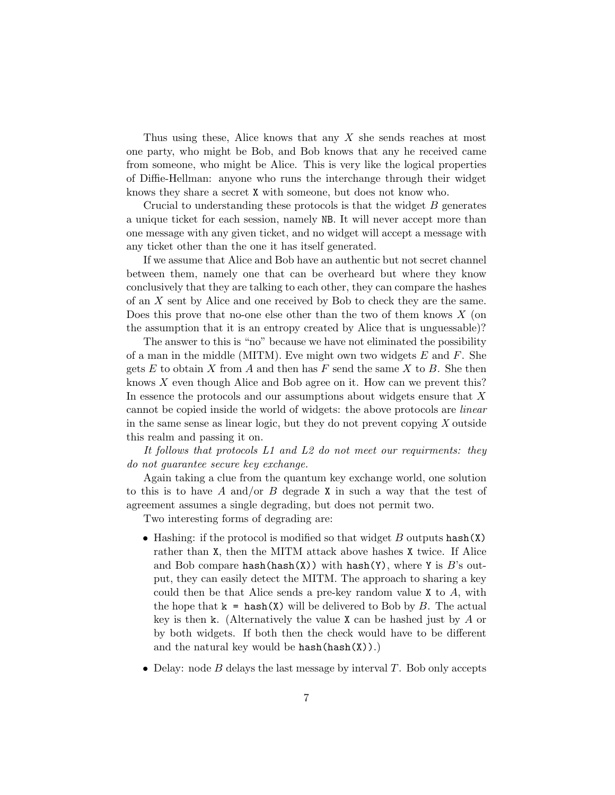Thus using these, Alice knows that any X she sends reaches at most one party, who might be Bob, and Bob knows that any he received came from someone, who might be Alice. This is very like the logical properties of Diffie-Hellman: anyone who runs the interchange through their widget knows they share a secret X with someone, but does not know who.

Crucial to understanding these protocols is that the widget B generates a unique ticket for each session, namely NB. It will never accept more than one message with any given ticket, and no widget will accept a message with any ticket other than the one it has itself generated.

If we assume that Alice and Bob have an authentic but not secret channel between them, namely one that can be overheard but where they know conclusively that they are talking to each other, they can compare the hashes of an X sent by Alice and one received by Bob to check they are the same. Does this prove that no-one else other than the two of them knows  $X$  (on the assumption that it is an entropy created by Alice that is unguessable)?

The answer to this is "no" because we have not eliminated the possibility of a man in the middle (MITM). Eve might own two widgets  $E$  and  $F$ . She gets  $E$  to obtain  $X$  from  $A$  and then has  $F$  send the same  $X$  to  $B$ . She then knows X even though Alice and Bob agree on it. How can we prevent this? In essence the protocols and our assumptions about widgets ensure that X cannot be copied inside the world of widgets: the above protocols are linear in the same sense as linear logic, but they do not prevent copying  $X$  outside this realm and passing it on.

It follows that protocols L1 and L2 do not meet our requirments: they do not guarantee secure key exchange.

Again taking a clue from the quantum key exchange world, one solution to this is to have  $A$  and/or  $B$  degrade  $X$  in such a way that the test of agreement assumes a single degrading, but does not permit two.

Two interesting forms of degrading are:

- Hashing: if the protocol is modified so that widget  $B$  outputs hash $(X)$ rather than X, then the MITM attack above hashes X twice. If Alice and Bob compare hash(hash(X)) with hash(Y), where Y is  $B$ 's output, they can easily detect the MITM. The approach to sharing a key could then be that Alice sends a pre-key random value  $X$  to  $A$ , with the hope that  $k = \text{hash}(X)$  will be delivered to Bob by B. The actual key is then k. (Alternatively the value X can be hashed just by A or by both widgets. If both then the check would have to be different and the natural key would be  $hash(hash(X))$ .
- Delay: node  $B$  delays the last message by interval  $T$ . Bob only accepts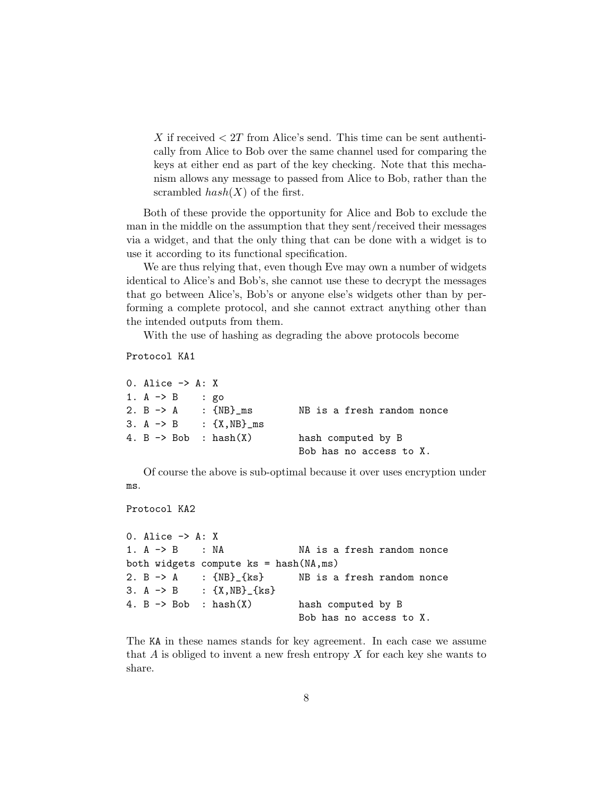X if received  $\langle 2T \rangle$  from Alice's send. This time can be sent authentically from Alice to Bob over the same channel used for comparing the keys at either end as part of the key checking. Note that this mechanism allows any message to passed from Alice to Bob, rather than the scrambled  $hash(X)$  of the first.

Both of these provide the opportunity for Alice and Bob to exclude the man in the middle on the assumption that they sent/received their messages via a widget, and that the only thing that can be done with a widget is to use it according to its functional specification.

We are thus relying that, even though Eve may own a number of widgets identical to Alice's and Bob's, she cannot use these to decrypt the messages that go between Alice's, Bob's or anyone else's widgets other than by performing a complete protocol, and she cannot extract anything other than the intended outputs from them.

With the use of hashing as degrading the above protocols become

Protocol KA1

| 0. Alice $\rightarrow$ A: X         |                          |                            |
|-------------------------------------|--------------------------|----------------------------|
| 1. A $\rightarrow$ B                | : 80                     |                            |
| $2. B \rightarrow A$ : $\{NB\}$ ms  |                          | NB is a fresh random nonce |
| 3. A $\rightarrow$ B                | : $\{X,NB\}_{\text{ms}}$ |                            |
| 4. B $\rightarrow$ Bob : hash $(X)$ |                          | hash computed by B         |
|                                     |                          | Bob has no access to X.    |

Of course the above is sub-optimal because it over uses encryption under ms.

```
Protocol KA2
```

```
0. Alice -> A: X
1. A \rightarrow B : NA NA is a fresh random nonce
both widgets compute ks = hash(NA, ms)2. B \rightarrow A : \{NB\}<sub>(ks)</sub> NB is a fresh random nonce
3. A \rightarrow B : \{X, NB\} \{ks\}4. B \rightarrow Bob : hash(X) hash computed by B
                                Bob has no access to X.
```
The KA in these names stands for key agreement. In each case we assume that  $A$  is obliged to invent a new fresh entropy  $X$  for each key she wants to share.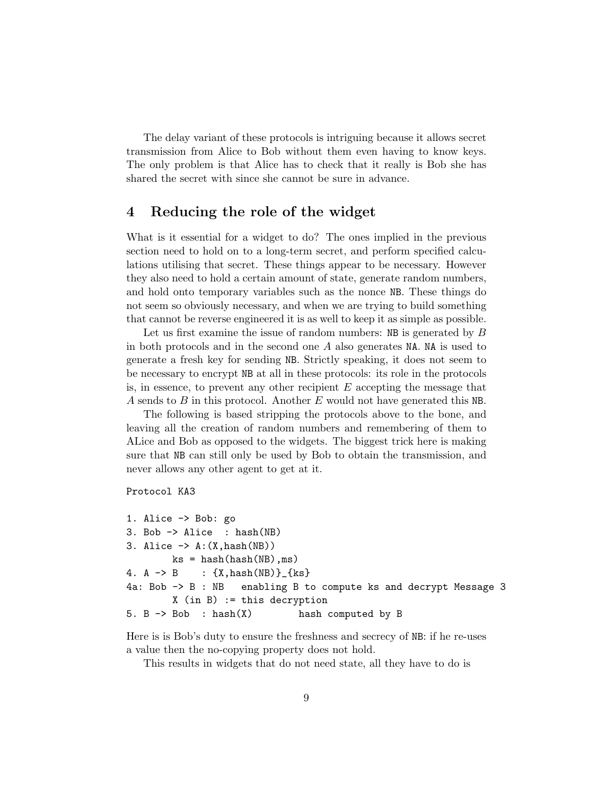The delay variant of these protocols is intriguing because it allows secret transmission from Alice to Bob without them even having to know keys. The only problem is that Alice has to check that it really is Bob she has shared the secret with since she cannot be sure in advance.

#### 4 Reducing the role of the widget

What is it essential for a widget to do? The ones implied in the previous section need to hold on to a long-term secret, and perform specified calculations utilising that secret. These things appear to be necessary. However they also need to hold a certain amount of state, generate random numbers, and hold onto temporary variables such as the nonce NB. These things do not seem so obviously necessary, and when we are trying to build something that cannot be reverse engineered it is as well to keep it as simple as possible.

Let us first examine the issue of random numbers: NB is generated by  $B$ in both protocols and in the second one  $A$  also generates NA. NA is used to generate a fresh key for sending NB. Strictly speaking, it does not seem to be necessary to encrypt NB at all in these protocols: its role in the protocols is, in essence, to prevent any other recipient  $E$  accepting the message that A sends to B in this protocol. Another E would not have generated this NB.

The following is based stripping the protocols above to the bone, and leaving all the creation of random numbers and remembering of them to ALice and Bob as opposed to the widgets. The biggest trick here is making sure that NB can still only be used by Bob to obtain the transmission, and never allows any other agent to get at it.

Protocol KA3

```
1. Alice -> Bob: go
3. Bob -> Alice : hash(NB)
3. Alice \rightarrow A:(X, \text{hash}(NB))ks = hash(hash(NB),ms)4. A \rightarrow B : \{X, hash(NB)\} \{ks\}4a: Bob -> B : NB enabling B to compute ks and decrypt Message 3
        X (in B) := this decryption
5. B \rightarrow Bob : hash(X) hash computed by B
```
Here is is Bob's duty to ensure the freshness and secrecy of NB: if he re-uses a value then the no-copying property does not hold.

This results in widgets that do not need state, all they have to do is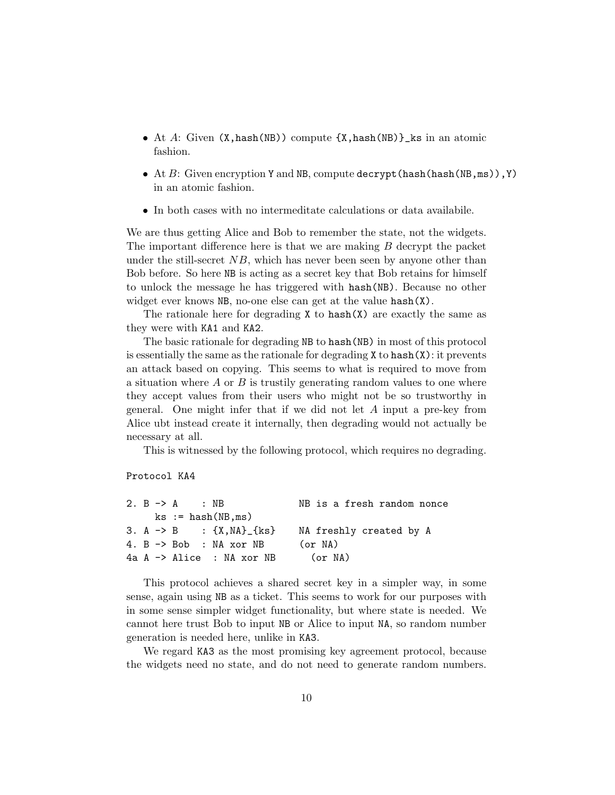- At A: Given (X, hash(NB)) compute {X, hash(NB)} ks in an atomic fashion.
- At  $B$ : Given encryption Y and NB, compute decrypt (hash(hash(NB,ms)), Y) in an atomic fashion.
- In both cases with no intermeditate calculations or data availabile.

We are thus getting Alice and Bob to remember the state, not the widgets. The important difference here is that we are making B decrypt the packet under the still-secret  $NB$ , which has never been seen by anyone other than Bob before. So here NB is acting as a secret key that Bob retains for himself to unlock the message he has triggered with hash(NB). Because no other widget ever knows NB, no-one else can get at the value hash(X).

The rationale here for degrading  $X$  to hash $(X)$  are exactly the same as they were with KA1 and KA2.

The basic rationale for degrading NB to hash(NB) in most of this protocol is essentially the same as the rationale for degrading  $X$  to hash $(X)$ : it prevents an attack based on copying. This seems to what is required to move from a situation where  $A$  or  $B$  is trustily generating random values to one where they accept values from their users who might not be so trustworthy in general. One might infer that if we did not let A input a pre-key from Alice ubt instead create it internally, then degrading would not actually be necessary at all.

This is witnessed by the following protocol, which requires no degrading.

Protocol KA4

|  | $2. B \rightarrow A$ : NB          | NB is a fresh random nonce                       |
|--|------------------------------------|--------------------------------------------------|
|  | $ks := hash(NB, ms)$               |                                                  |
|  |                                    | 3. A -> B : {X, NA} {ks} NA freshly created by A |
|  | 4. $B \rightarrow Bob$ : NA xor NB | (or NA)                                          |
|  | 4a A -> Alice : NA xor NB          | (or NA)                                          |

This protocol achieves a shared secret key in a simpler way, in some sense, again using NB as a ticket. This seems to work for our purposes with in some sense simpler widget functionality, but where state is needed. We cannot here trust Bob to input NB or Alice to input NA, so random number generation is needed here, unlike in KA3.

We regard KA3 as the most promising key agreement protocol, because the widgets need no state, and do not need to generate random numbers.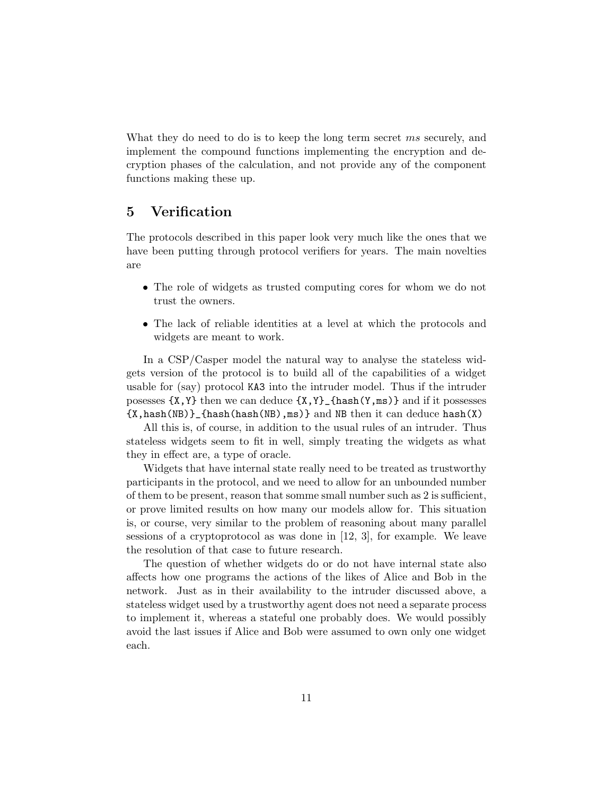What they do need to do is to keep the long term secret ms securely, and implement the compound functions implementing the encryption and decryption phases of the calculation, and not provide any of the component functions making these up.

#### 5 Verification

The protocols described in this paper look very much like the ones that we have been putting through protocol verifiers for years. The main novelties are

- The role of widgets as trusted computing cores for whom we do not trust the owners.
- The lack of reliable identities at a level at which the protocols and widgets are meant to work.

In a CSP/Casper model the natural way to analyse the stateless widgets version of the protocol is to build all of the capabilities of a widget usable for (say) protocol KA3 into the intruder model. Thus if the intruder posesses  $\{X, Y\}$  then we can deduce  $\{X, Y\}$  {hash(Y,ms)} and if it possesses {X,hash(NB)}\_{hash(hash(NB),ms)} and NB then it can deduce hash(X)

All this is, of course, in addition to the usual rules of an intruder. Thus stateless widgets seem to fit in well, simply treating the widgets as what they in effect are, a type of oracle.

Widgets that have internal state really need to be treated as trustworthy participants in the protocol, and we need to allow for an unbounded number of them to be present, reason that somme small number such as 2 is sufficient, or prove limited results on how many our models allow for. This situation is, or course, very similar to the problem of reasoning about many parallel sessions of a cryptoprotocol as was done in [12, 3], for example. We leave the resolution of that case to future research.

The question of whether widgets do or do not have internal state also affects how one programs the actions of the likes of Alice and Bob in the network. Just as in their availability to the intruder discussed above, a stateless widget used by a trustworthy agent does not need a separate process to implement it, whereas a stateful one probably does. We would possibly avoid the last issues if Alice and Bob were assumed to own only one widget each.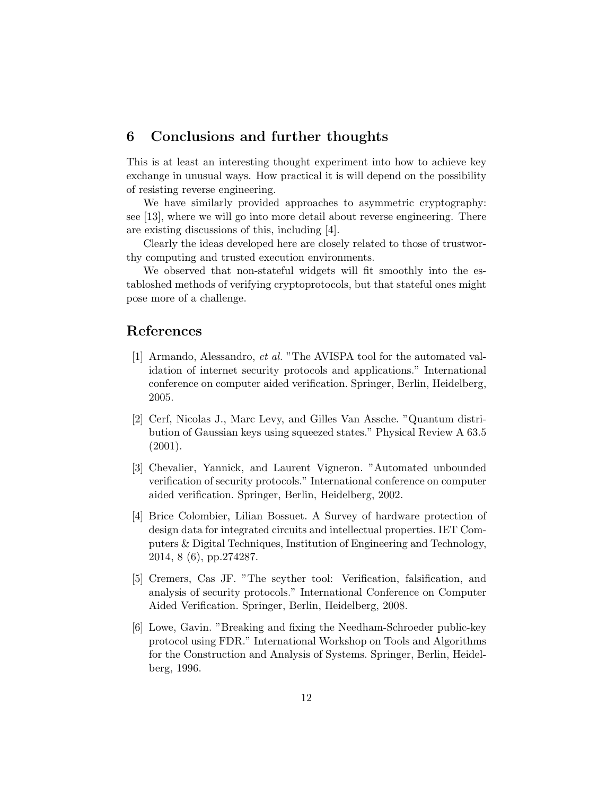# 6 Conclusions and further thoughts

This is at least an interesting thought experiment into how to achieve key exchange in unusual ways. How practical it is will depend on the possibility of resisting reverse engineering.

We have similarly provided approaches to asymmetric cryptography: see [13], where we will go into more detail about reverse engineering. There are existing discussions of this, including [4].

Clearly the ideas developed here are closely related to those of trustworthy computing and trusted execution environments.

We observed that non-stateful widgets will fit smoothly into the establoshed methods of verifying cryptoprotocols, but that stateful ones might pose more of a challenge.

# References

- [1] Armando, Alessandro, et al. "The AVISPA tool for the automated validation of internet security protocols and applications." International conference on computer aided verification. Springer, Berlin, Heidelberg, 2005.
- [2] Cerf, Nicolas J., Marc Levy, and Gilles Van Assche. "Quantum distribution of Gaussian keys using squeezed states." Physical Review A 63.5 (2001).
- [3] Chevalier, Yannick, and Laurent Vigneron. "Automated unbounded verification of security protocols." International conference on computer aided verification. Springer, Berlin, Heidelberg, 2002.
- [4] Brice Colombier, Lilian Bossuet. A Survey of hardware protection of design data for integrated circuits and intellectual properties. IET Computers & Digital Techniques, Institution of Engineering and Technology, 2014, 8 (6), pp.274287.
- [5] Cremers, Cas JF. "The scyther tool: Verification, falsification, and analysis of security protocols." International Conference on Computer Aided Verification. Springer, Berlin, Heidelberg, 2008.
- [6] Lowe, Gavin. "Breaking and fixing the Needham-Schroeder public-key protocol using FDR." International Workshop on Tools and Algorithms for the Construction and Analysis of Systems. Springer, Berlin, Heidelberg, 1996.